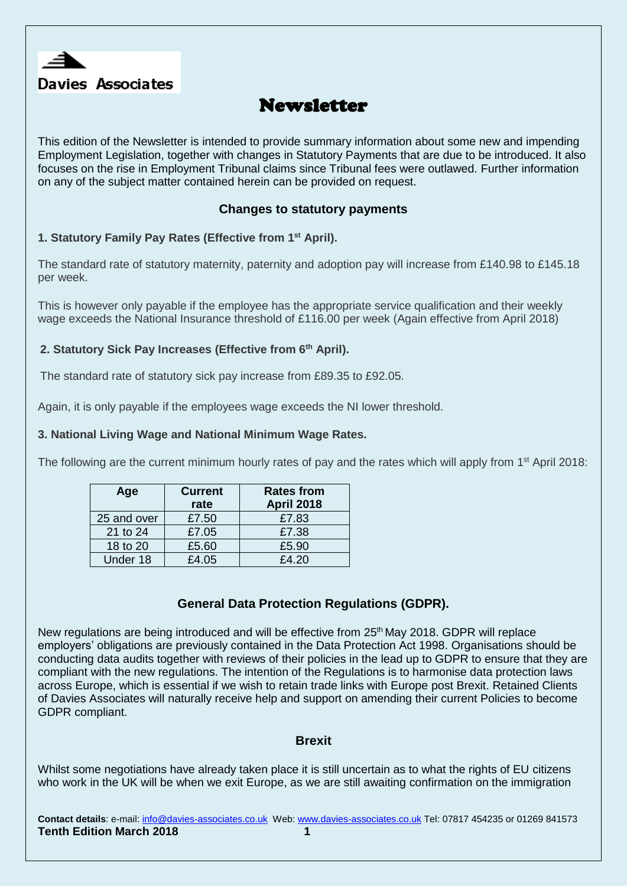

# Newsletter

This edition of the Newsletter is intended to provide summary information about some new and impending Employment Legislation, together with changes in Statutory Payments that are due to be introduced. It also focuses on the rise in Employment Tribunal claims since Tribunal fees were outlawed. Further information on any of the subject matter contained herein can be provided on request.

# **Changes to statutory payments**

# **1. Statutory Family Pay Rates (Effective from 1st April).**

The standard rate of statutory maternity, paternity and adoption pay will increase from £140.98 to £145.18 per week.

This is however only payable if the employee has the appropriate service qualification and their weekly wage exceeds the National Insurance threshold of £116.00 per week (Again effective from April 2018)

# **2. Statutory Sick Pay Increases (Effective from 6th April).**

The standard rate of statutory sick pay increase from £89.35 to £92.05.

Again, it is only payable if the employees wage exceeds the NI lower threshold.

### **3. National Living Wage and National Minimum Wage Rates.**

The following are the current minimum hourly rates of pay and the rates which will apply from 1<sup>st</sup> April 2018:

| Age         | <b>Current</b> | <b>Rates from</b> |
|-------------|----------------|-------------------|
|             | rate           | <b>April 2018</b> |
| 25 and over | £7.50          | £7.83             |
| 21 to 24    | £7.05          | £7.38             |
| 18 to 20    | £5.60          | £5.90             |
| Under 18    | £4.05          | £4.20             |

# **General Data Protection Regulations (GDPR).**

New regulations are being introduced and will be effective from 25<sup>th</sup> May 2018. GDPR will replace employers' obligations are previously contained in the Data Protection Act 1998. Organisations should be conducting data audits together with reviews of their policies in the lead up to GDPR to ensure that they are compliant with the new regulations. The intention of the Regulations is to harmonise data protection laws across Europe, which is essential if we wish to retain trade links with Europe post Brexit. Retained Clients of Davies Associates will naturally receive help and support on amending their current Policies to become GDPR compliant.

### **Brexit**

Whilst some negotiations have already taken place it is still uncertain as to what the rights of EU citizens who work in the UK will be when we exit Europe, as we are still awaiting confirmation on the immigration